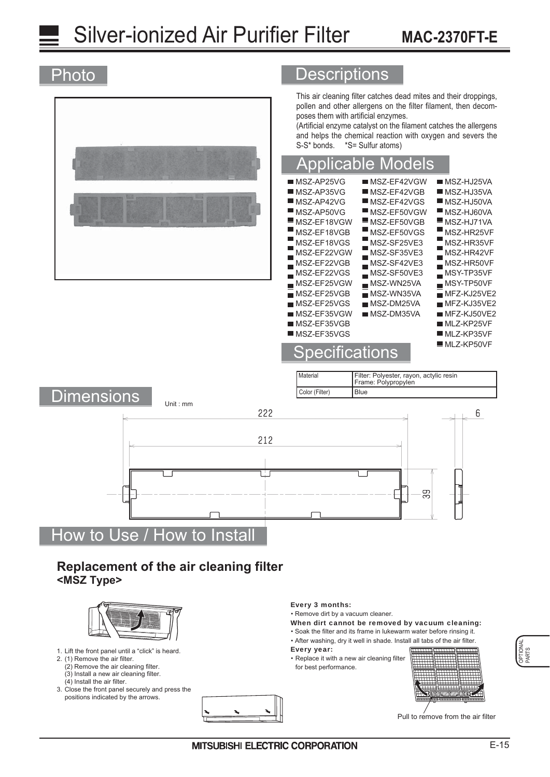# **Silver-ionized Air Purifier Filter MAC-2370FT-E**

#### **Descriptions** Photo This air cleaning filter catches dead mites and their droppings, pollen and other allergens on the filter filament, then decomposes them with artificial enzymes. (Artificial enzyme catalyst on the filament catches the allergens and helps the chemical reaction with oxygen and severs the S-S\* bonds. \*S= Sulfur atoms) Applicable Models  $MSZ-AP25VG$  $MSZ-EF42VGW$  $MSZ-HJ25VA$ п MSZ-AP35VG  $MSZ-EF42VGB$  $MSZ-HJ35VA$  $MST-AP42VG$  $MST-EF42VGS$  $MSE-HJ50VA$  $MST-AP50VG$ г MSZ-EF50VGW  $\blacksquare$  MSZ-HJ60VA MSZ-EF18VGW MSZ-EF50VGB MSZ-HJ71VA Ē Е Н MSZ-EF18VGB MSZ-EF50VGS MSZ-HR25VF г Ē MSZ-EF18VGS MSZ-SF25VE3 MSZ-HR35VF Е Е п MSZ-EF22VGW MSZ-SF35VE3 MSZ-HR42VF Н г п MSZ-EF22VGB MSZ-SF42VE3 MSZ-HR50VF Ē MSZ-EF22VGS MSZ-SF50VE3  $MST-TP35VF$ ÷  $\blacksquare$  $MSE-EF25VGW$  $M$ SZ-WN25VA  $MST-TP50VF$  $MSZ-EF25VGB$  $MSZ-WN35VA$  $MFZ-KJ25VE2$  $MSZ-DM25VA$  $MSZ-EF25VGS$  $MFZ-KJ35VE2$  $MSZ-EF35VGW$  $MSZ$ -DM35VA  $M$ FZ-KJ50VE2  $MSZ-EF35VGB$  $MLZ-KP25VF$  $MSZ-EF35VGS$  $MLZ-KP35VF$  $MLZ-KP50VF$ pecifications **Material** Filter: Polyester, rayon, actylic resin Frame: Polypropylen Color (Filter)  $B<sub>lue</sub>$ Dimensions Initial 222 212 တ္တ<br>က How to Use / How to Install **Replacement of the air cleaning filter <MSZ Type>** Every 3 months: • Remove dirt by a vacuum cleaner.



- 1. Lift the front panel until a "click" is heard.
- 2. (1) Remove the air filter.
- (2) Remove the air cleaning filter. (3) Install a new air cleaning filter.
- (4) Install the air filter.
- 3. Close the front panel securely and press the positions indicated by the arrows.

• Soak the filter and its frame in lukewarm water before rinsing it. When dirt cannot be removed by vacuum cleaning:

. After washing, dry it well in shade. Install all tabs of the air filter.

Every year:

• Replace it with a new air cleaning filter for best performance.



Pull to remove from the air filter

6